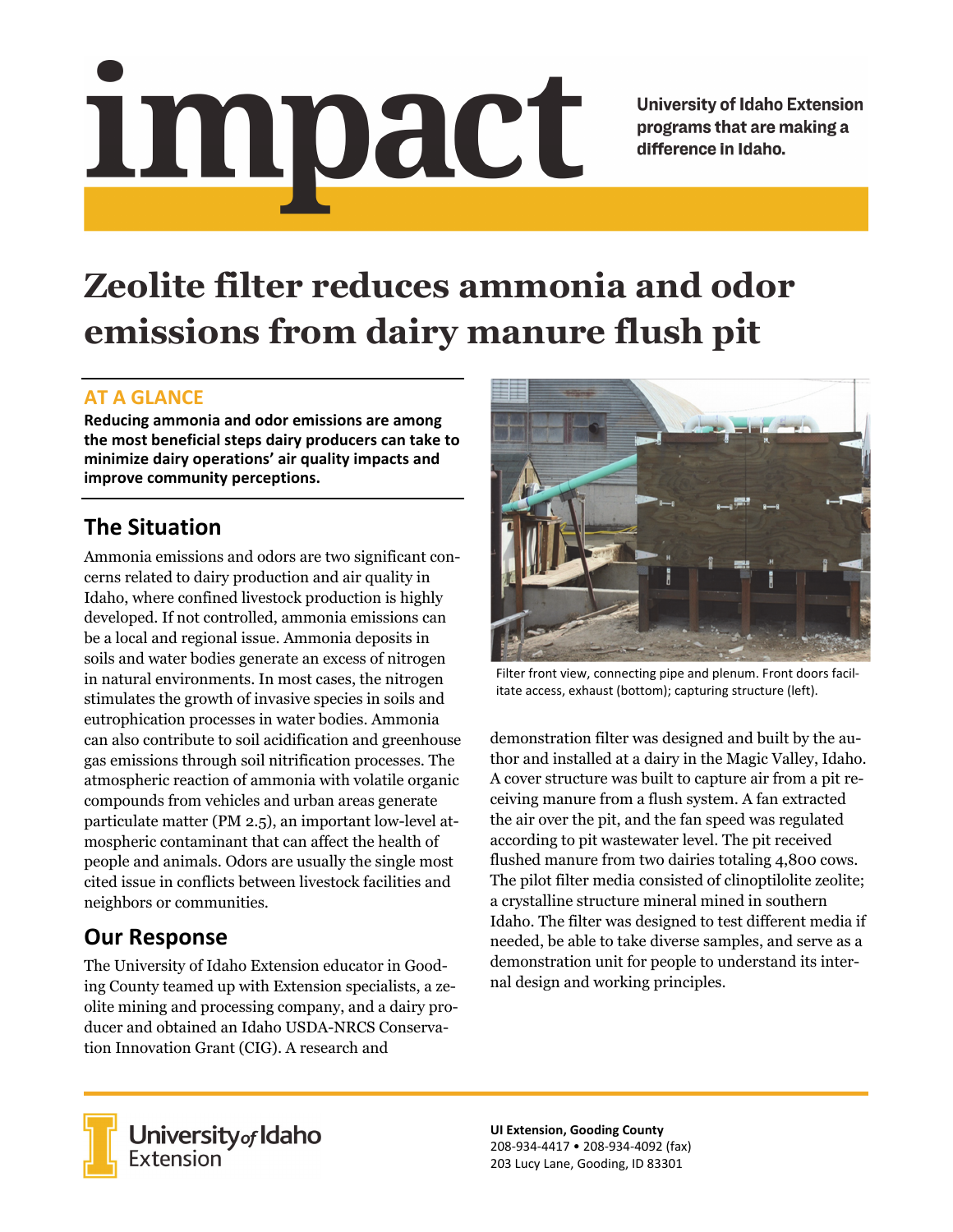# Impact

**University of Idaho Extension** programs that are making a difference in Idaho.

# **Zeolite filter reduces ammonia and odor emissions from dairy manure flush pit**

#### **AT A GLANCE**

**Reducing ammonia and odor emissions are among the most beneficial steps dairy producers can take to minimize dairy operations' air quality impacts and improve community perceptions.**

# **The Situation**

Ammonia emissions and odors are two significant concerns related to dairy production and air quality in Idaho, where confined livestock production is highly developed. If not controlled, ammonia emissions can be a local and regional issue. Ammonia deposits in soils and water bodies generate an excess of nitrogen in natural environments. In most cases, the nitrogen stimulates the growth of invasive species in soils and eutrophication processes in water bodies. Ammonia can also contribute to soil acidification and greenhouse gas emissions through soil nitrification processes. The atmospheric reaction of ammonia with volatile organic compounds from vehicles and urban areas generate particulate matter (PM 2.5), an important low-level atmospheric contaminant that can affect the health of people and animals. Odors are usually the single most cited issue in conflicts between livestock facilities and neighbors or communities.

# **Our Response**

The University of Idaho Extension educator in Gooding County teamed up with Extension specialists, a zeolite mining and processing company, and a dairy producer and obtained an Idaho USDA-NRCS Conservation Innovation Grant (CIG). A research and



Filter front view, connecting pipe and plenum. Front doors facil‐ itate access, exhaust (bottom); capturing structure (left).

demonstration filter was designed and built by the author and installed at a dairy in the Magic Valley, Idaho. A cover structure was built to capture air from a pit receiving manure from a flush system. A fan extracted the air over the pit, and the fan speed was regulated according to pit wastewater level. The pit received flushed manure from two dairies totaling 4,800 cows. The pilot filter media consisted of clinoptilolite zeolite; a crystalline structure mineral mined in southern Idaho. The filter was designed to test different media if needed, be able to take diverse samples, and serve as a demonstration unit for people to understand its internal design and working principles.



University of Idaho<br>Extension

**UI Extension, Gooding County** 208‐934‐4417 • 208‐934‐4092 (fax) 203 Lucy Lane, Gooding, ID 83301